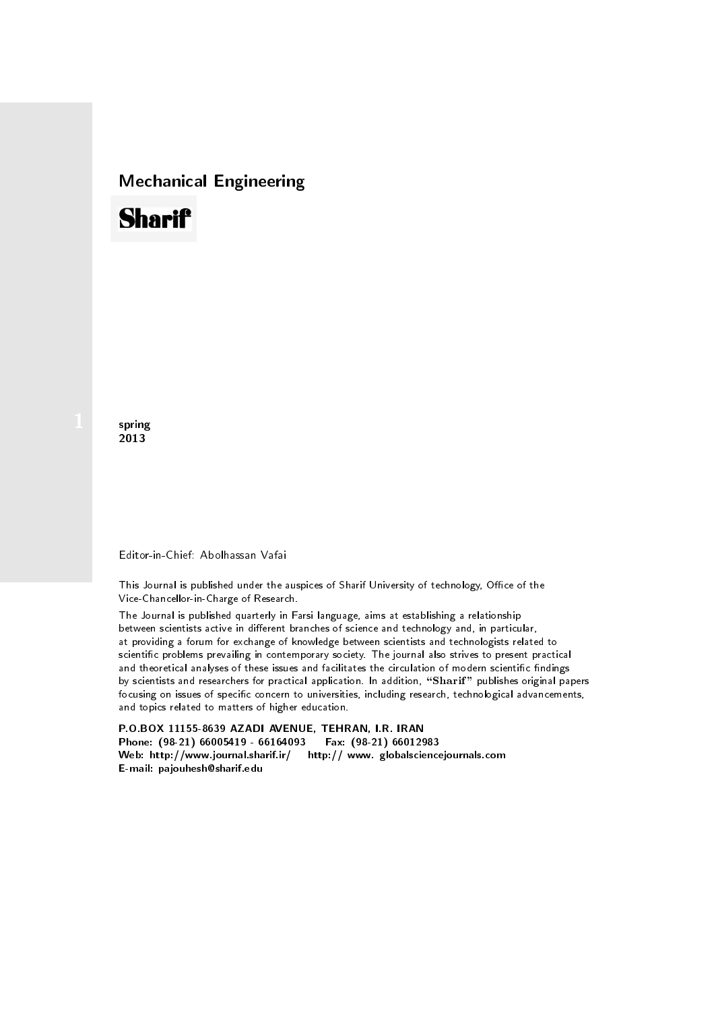## Mechanical Engineering

# **Sharif**

spring 2013

#### Editor-in-Chief: Abolhassan Vafai

This Journal is published under the auspices of Sharif University of technology, Office of the Vice-Chancellor-in-Charge of Research.

The Journal is published quarterly in Farsi language, aims at establishing a relationship between scientists active in different branches of science and technology and, in particular, at providing a forum for exchange of knowledge between scientists and technologists related to scientic problems prevailing in contemporary society. The journal also strives to present practical and theoretical analyses of these issues and facilitates the circulation of modern scientific findings by scientists and researchers for practical application. In addition, "Sharif" publishes original papers focusing on issues of specific concern to universities, including research, technological advancements, and topics related to matters of higher education.

P.O.BOX 11155-8639 AZADI AVENUE, TEHRAN, I.R. IRAN Phone: (98-21) 66005419 - 66164093 Fax: (98-21) 66012983 Web: http://www.journal.sharif.ir/ http:// www. globalsciencejournals.com E-mail: pajouhesh@sharif.edu